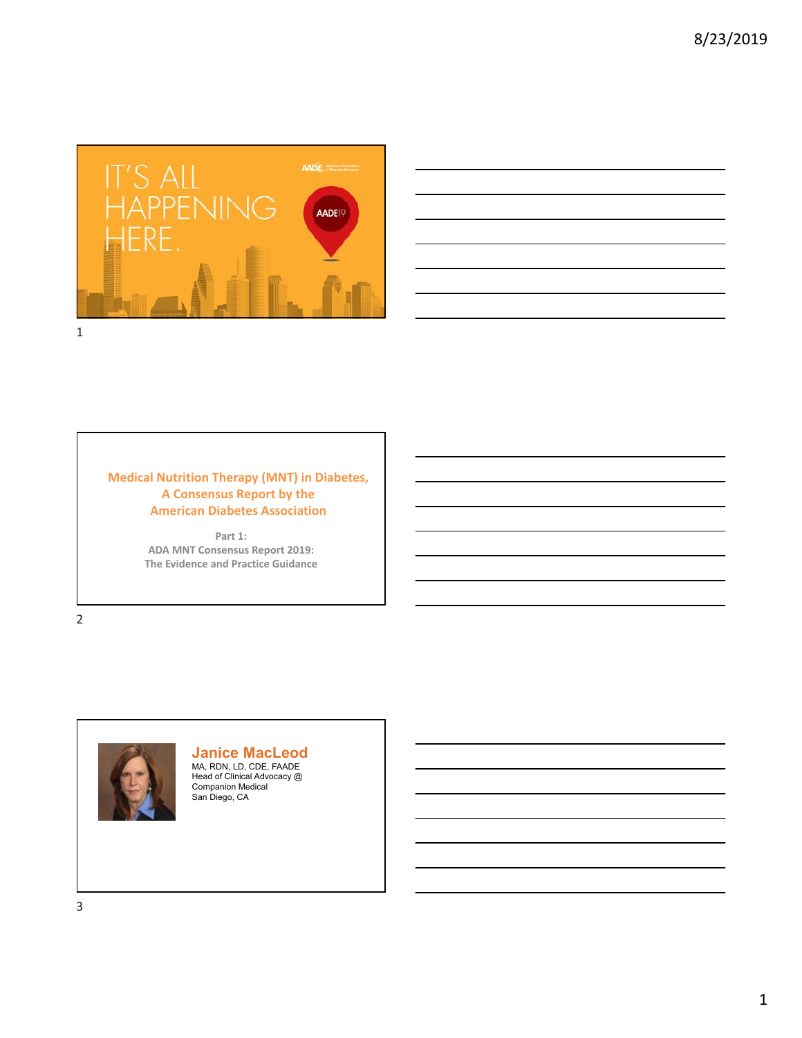



## **Medical Nutrition Therapy (MNT) in Diabetes, A Consensus Report by the American Diabetes Association**

**Part 1: ADA MNT Consensus Report 2019: The Evidence and Practice Guidance**

2



**Janice MacLeod** MA, RDN, LD, CDE, FAADE Head of Clinical Advocacy @ Companion Medical San Diego, CA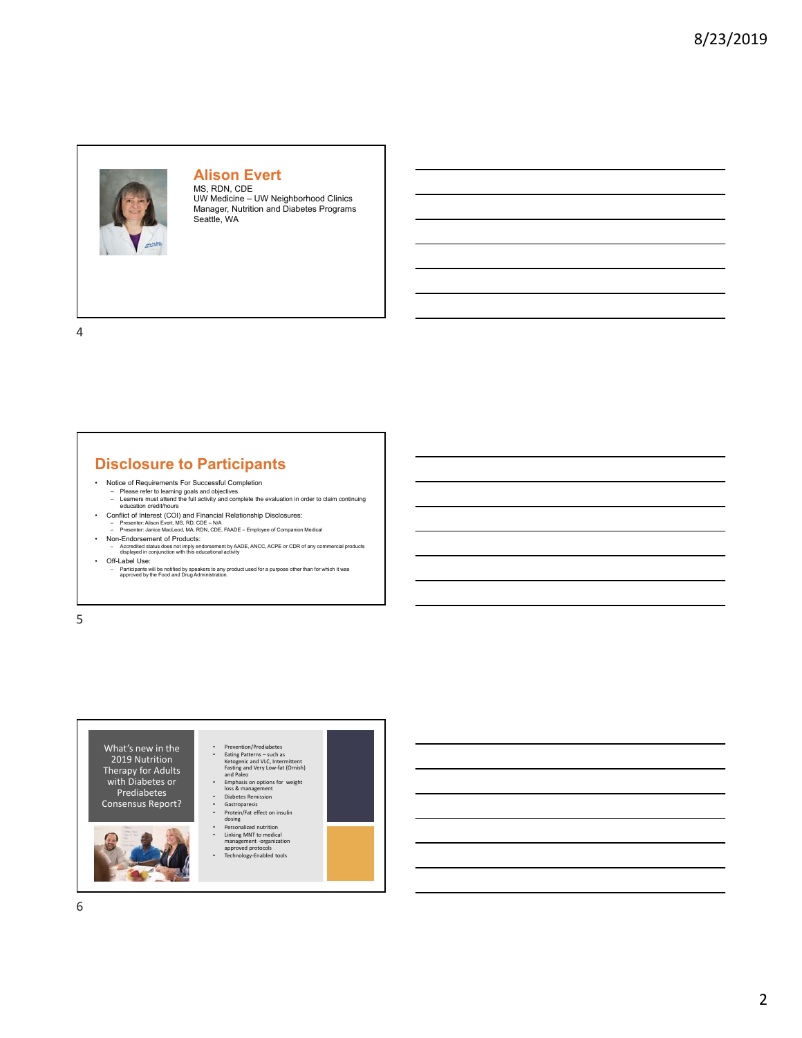

#### **Alison Evert** MS, RDN, CDE

UW Medicine – UW Neighborhood Clinics Manager, Nutrition and Diabetes Programs Seattle, WA

4

## **Disclosure to Participants**

- 
- Notice of Requirements For Successful Completion Please refer to learning goals and objectives Learners must attend the full activity and complete the evaluation in order to claim continuing education credit/hours
- Conflict of Interest (COI) and Financial Relationship Disclosures: Presenter: Alison Evert, MS, RD, CDE N/A Presenter: Janice MacLeod, MA, RDN, CDE, FAADE Employee of Companion Medical
- Non-Endorsement of Products: Accredited status does not imply endorsement by AADE, ANCC, ACPE or CDR of any commercial products displayed in conjunction with this educational activity
- Off-Label Use:
- Participants will be notified by speakers to any product used for a purpose other than for which it was approved by the Food and Drug Administration.

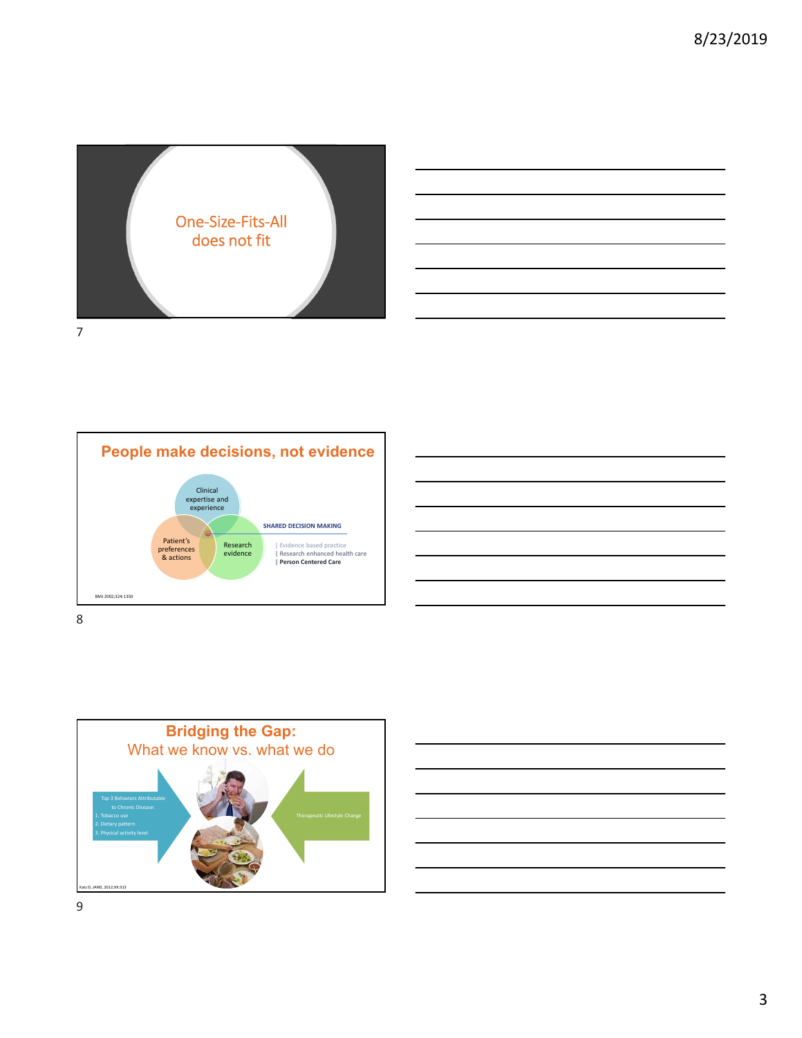









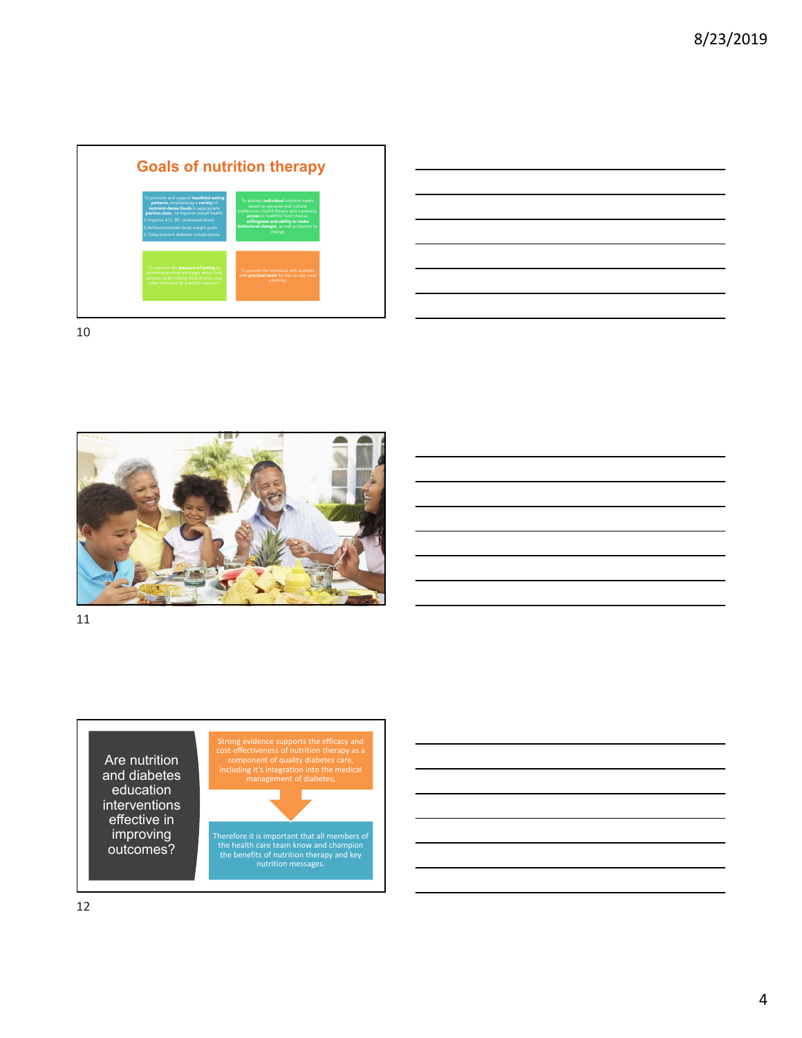





Are nutrition and diabetes education interventions effective in improving outcomes?

Strong evidence supports the efficacy and cost-effectiveness of nutrition therapy as a component of quality diabetes care, including it's integration into the medical management of diabetes;



Therefore it is important that all members of the health care team know and champion the benefits of nutrition therapy and key nutrition messages.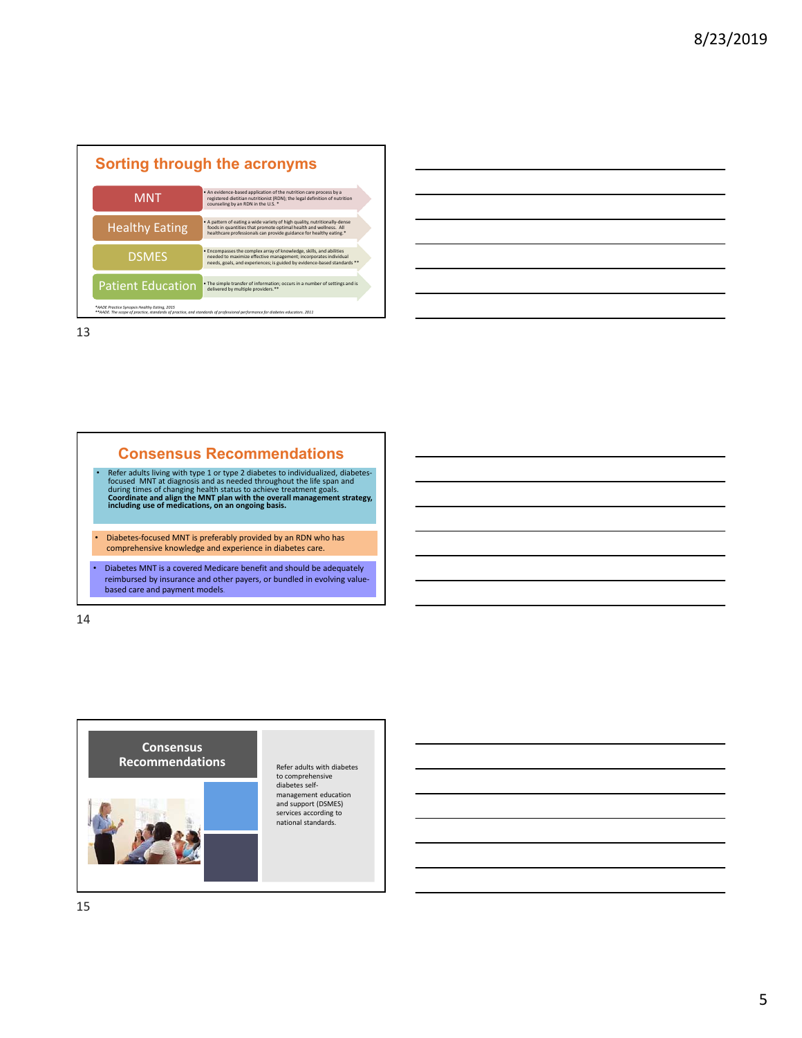| <b>Sorting through the acronyms</b> |                                                                                                                                                                                                                      |  |  |  |
|-------------------------------------|----------------------------------------------------------------------------------------------------------------------------------------------------------------------------------------------------------------------|--|--|--|
| <b>MNT</b>                          | . An evidence-based application of the nutrition care process by a<br>registered dietitian nutritionist (RDN); the legal definition of nutrition<br>counseling by an RDN in the U.S. *                               |  |  |  |
| <b>Healthy Eating</b>               | . A pattern of eating a wide variety of high quality, nutritionally-dense<br>foods in quantities that promote optimal health and wellness. All<br>healthcare professionals can provide guidance for healthy eating.* |  |  |  |
| <b>DSMES</b>                        | · Encompasses the complex array of knowledge, skills, and abilities<br>needed to maximize effective management; incorporates individual<br>needs, goals, and experiences; is guided by evidence-based standards **   |  |  |  |
| <b>Patient Education</b>            | . The simple transfer of information; occurs in a number of settings and is<br>delivered by multiple providers.**                                                                                                    |  |  |  |

# **Consensus Recommendations** • Refer adults living with type 1 or type 2 diabetes to individualized, diabetes-<br>focused MNT at diagnosis and as needed throughout the life span and<br>during times of changing health status to achieve treatment goals.<br>Coord • Diabetes‐focused MNT is preferably provided by an RDN who has comprehensive knowledge and experience in diabetes care. • Diabetes MNT is a covered Medicare benefit and should be adequately reimbursed by insurance and other payers, or bundled in evolving valuebased care and payment models.

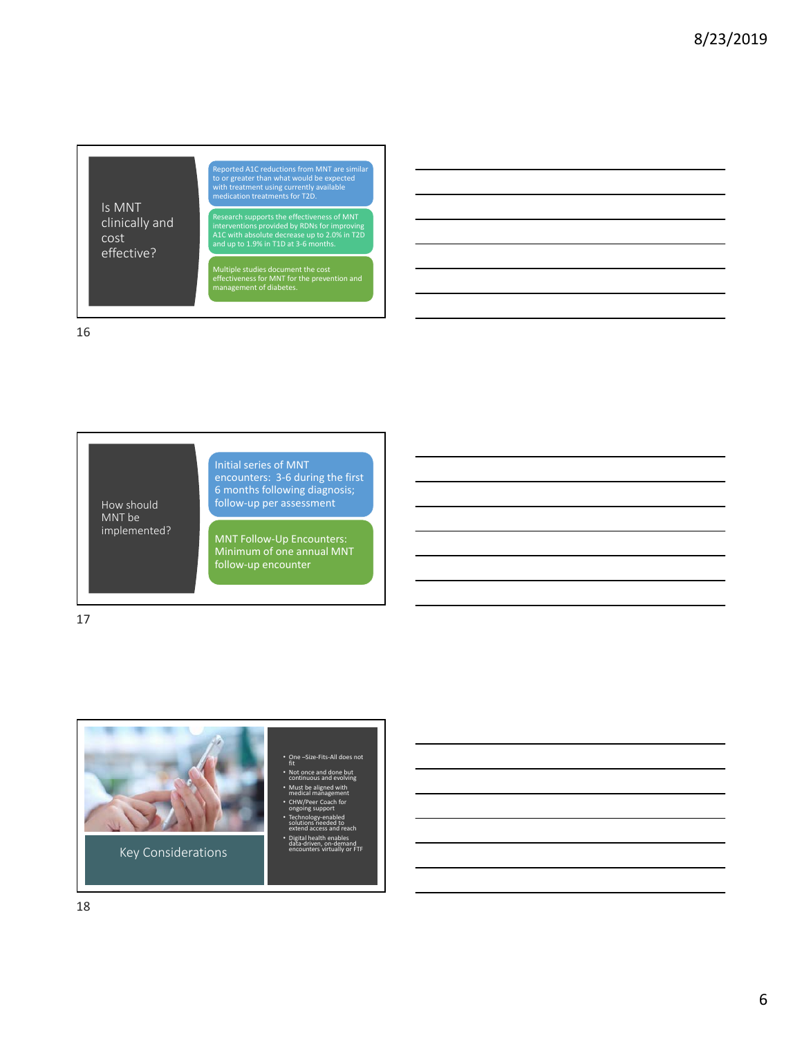



MNT Follow‐Up Encounters: Minimum of one annual MNT follow‐up encounter

17

How should MNT be implemented?

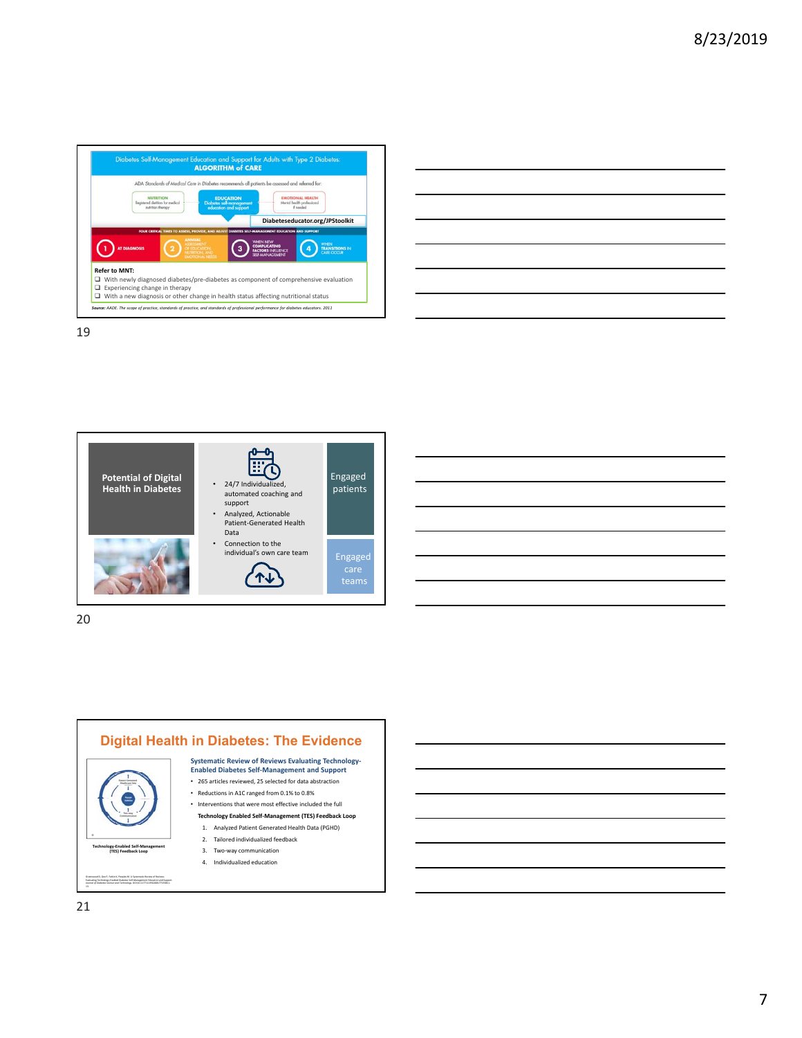

| <u> 1989 - Andrea Santa Andrea Andrea Andrea Andrea Andrea Andrea Andrea Andrea Andrea Andrea Andrea Andrea Andr</u> |  | ______ |
|----------------------------------------------------------------------------------------------------------------------|--|--------|



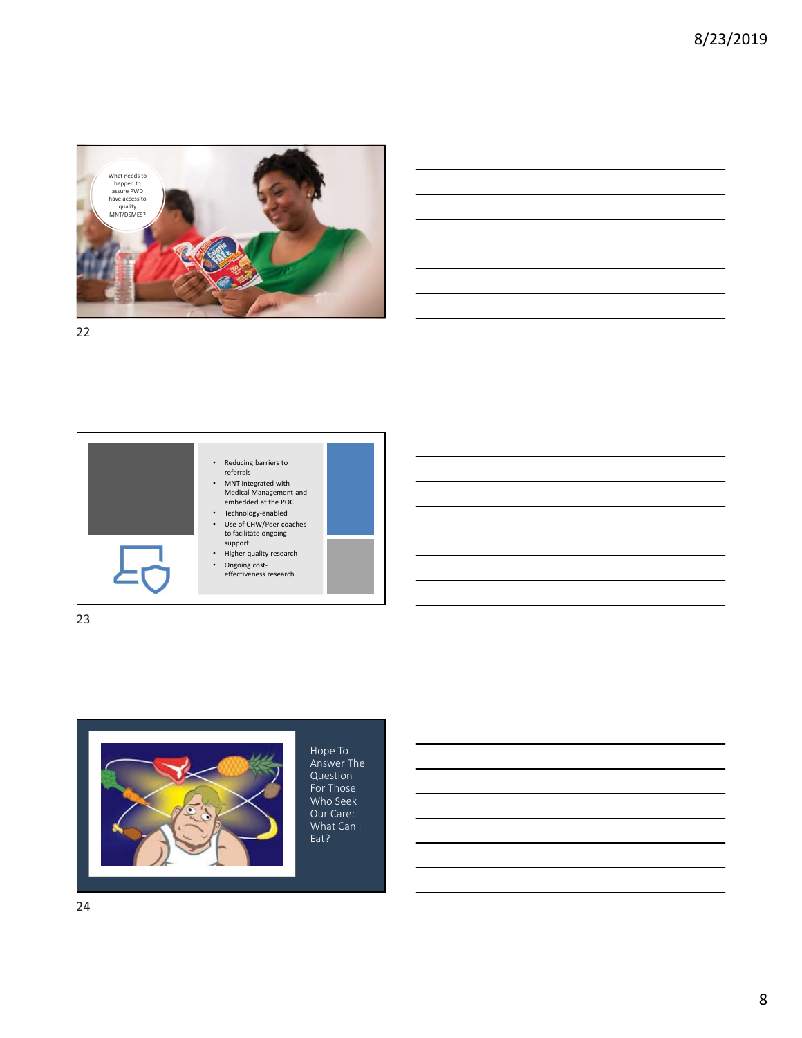





Hope To Answer The Question For Those Who Seek Our Care: What Can I Eat?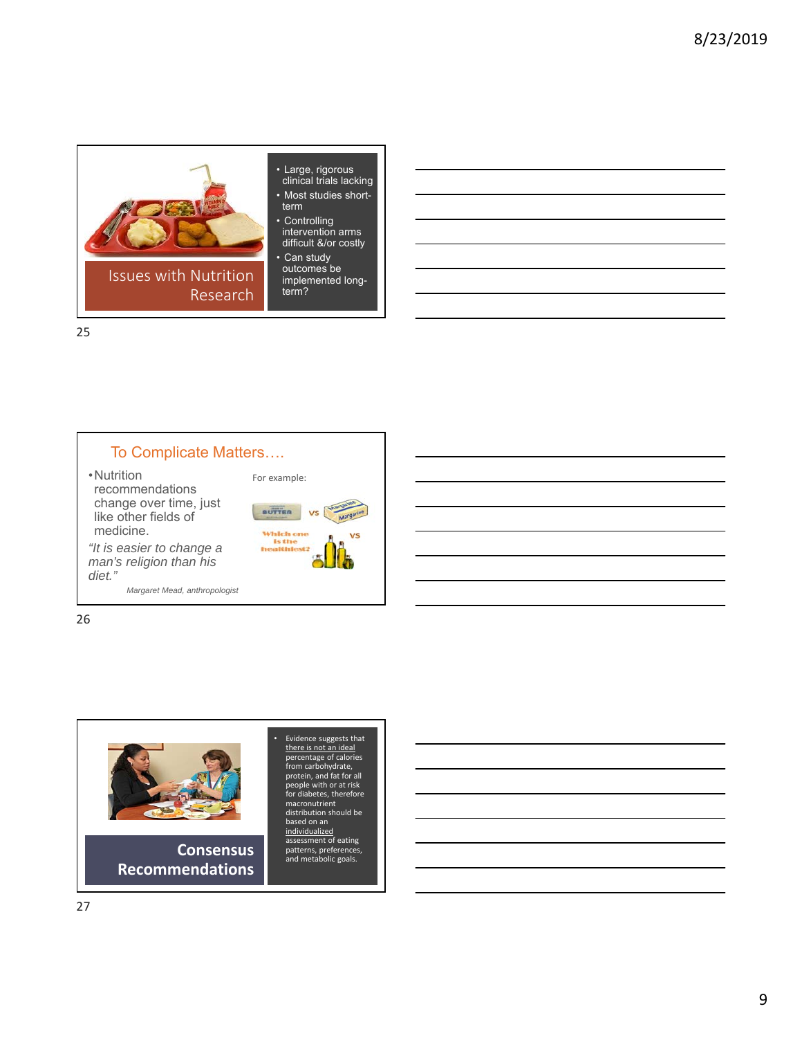



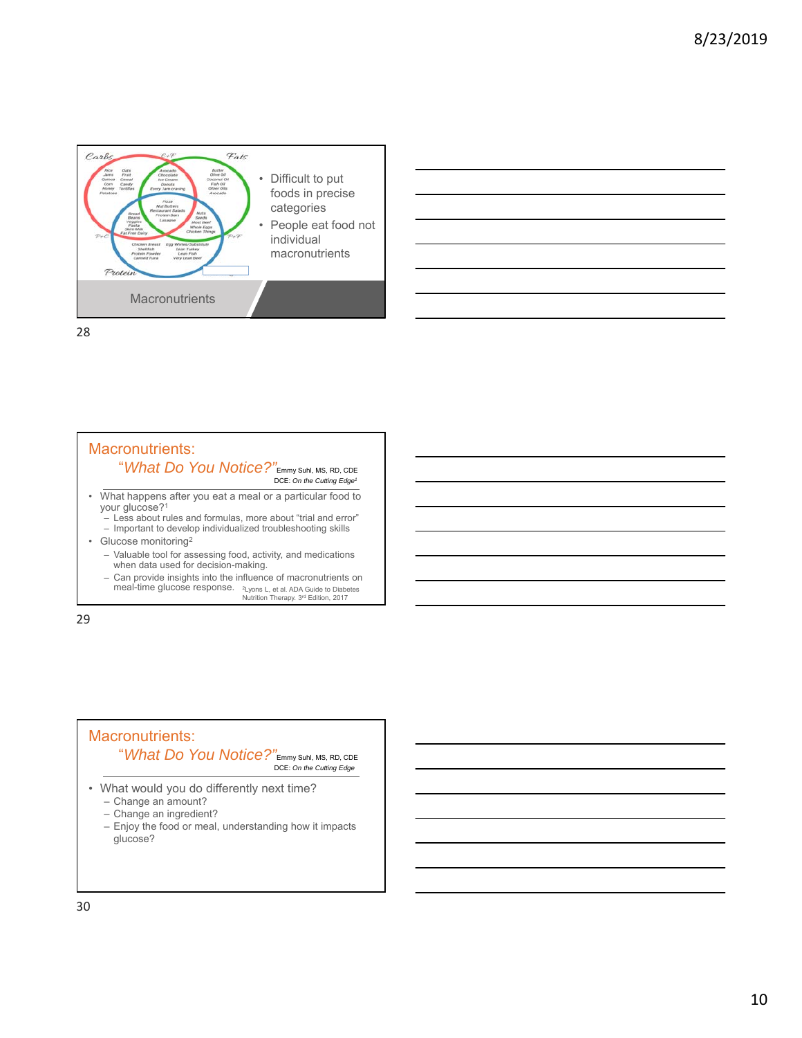

### Macronutrients: "*What Do You Notice?"*Emmy Suhl, MS, RD, CDE DCE: *On the Cutting Edge1* • What happens after you eat a meal or a particular food to your glucose?1

- Less about rules and formulas, more about "trial and error"
- Important to develop individualized troubleshooting skills
- Glucose monitoring2
	- Valuable tool for assessing food, activity, and medications when data used for decision-making.
	- Can provide insights into the influence of macronutrients on meal-time glucose response. 2Lyons L, et al. ADA Guide to Diabetes Nutrition Therapy. 3rd Edition, 2017

29

### Macronutrients: "*What Do You Notice?"*Emmy Suhl, MS, RD, CDE DCE: *On the Cutting Edge* • What would you do differently next time? – Change an amount? – Change an ingredient? – Enjoy the food or meal, understanding how it impacts glucose?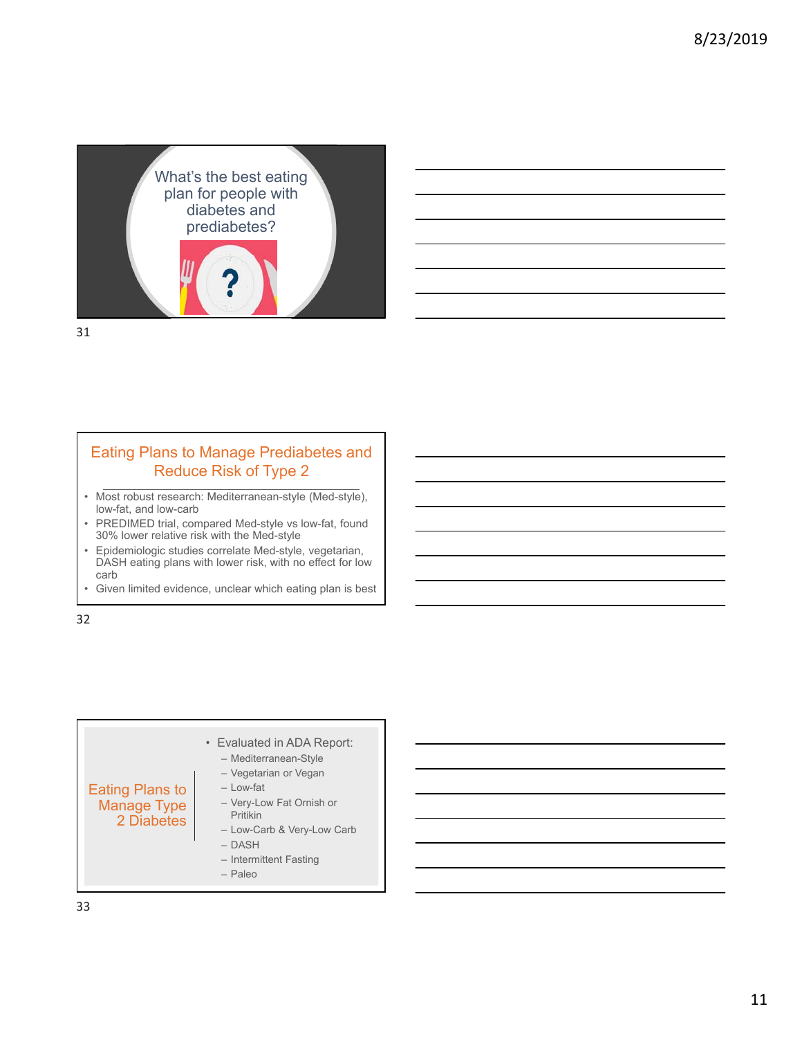

## Eating Plans to Manage Prediabetes and Reduce Risk of Type 2

- Most robust research: Mediterranean-style (Med-style), low-fat, and low-carb
- PREDIMED trial, compared Med-style vs low-fat, found 30% lower relative risk with the Med-style
- Epidemiologic studies correlate Med-style, vegetarian, DASH eating plans with lower risk, with no effect for low carb
- Given limited evidence, unclear which eating plan is best

32

#### Eating Plans to Manage Type 2 Diabetes • Evaluated in ADA Report: – Mediterranean-Style – Vegetarian or Vegan – Low-fat – Very-Low Fat Ornish or Pritikin – Low-Carb & Very-Low Carb – DASH – Intermittent Fasting – Paleo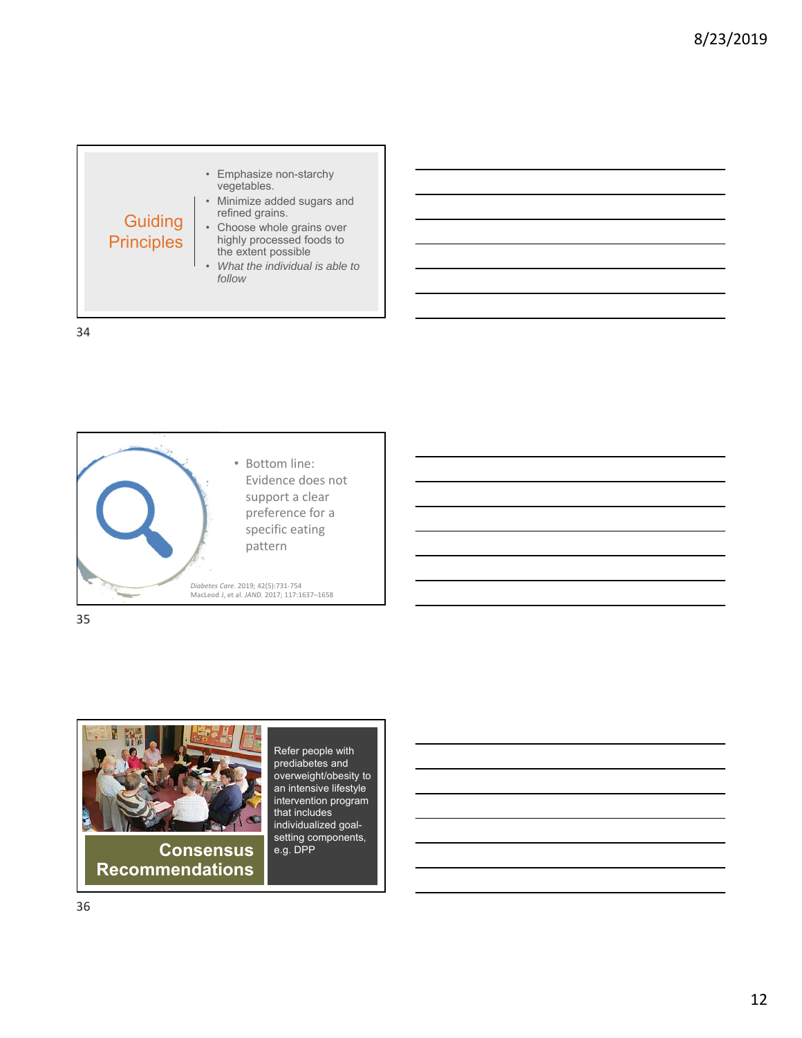



35



**Consensus Recommendations** 

Refer people with prediabetes and overweight/obesity to an intensive lifestyle intervention program that includes individualized goalsetting components, e.g. DPP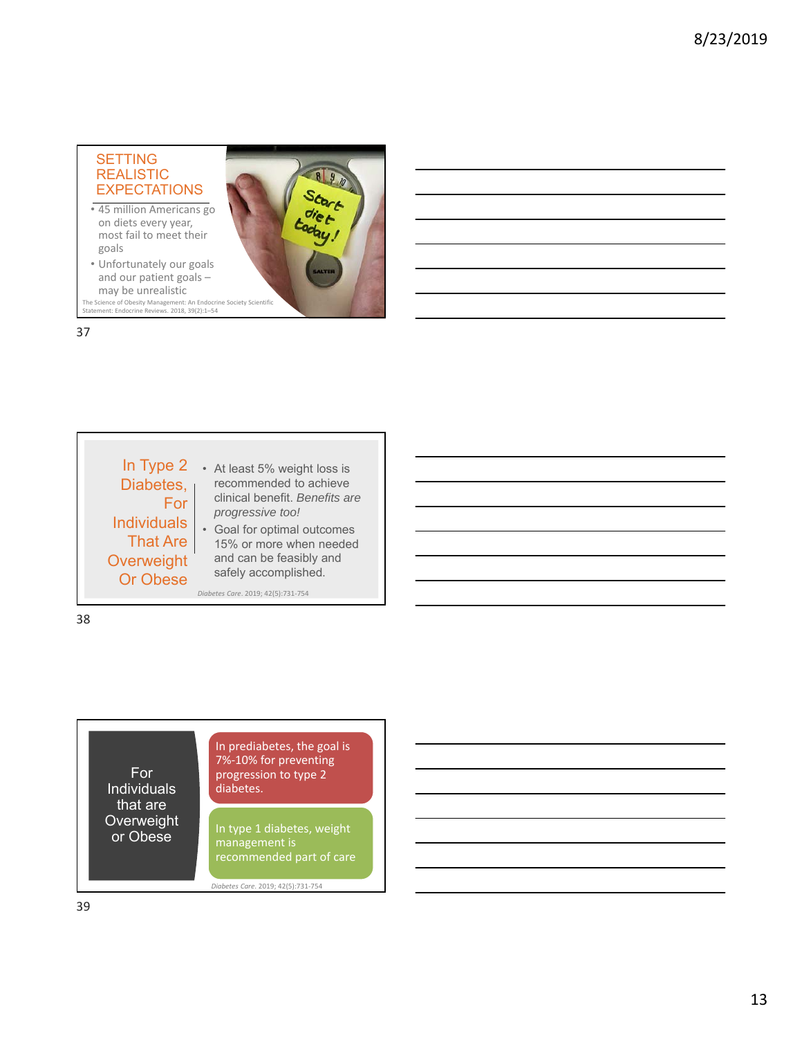### SETTING REALISTIC **EXPECTATIONS**

- 45 million Americans go on diets every year, most fail to meet their goals
- Unfortunately our goals and our patient goals – may be unrealistic

The Science of Obesity Management: An Endocrine Society Scientific Statement: Endocrine Reviews. 2018, 39(2):1–54

### 37

#### In Type 2 Diabetes, For **Individuals** That Are • At least 5% weight loss is recommended to achieve clinical benefit. *Benefits are progressive too!*

• Goal for optimal outcomes 15% or more when needed and can be feasibly and safely accomplished.

890 Start

*Diabetes Care*. 2019; 42(5):731‐754

38

## For Individuals that are **Overweight** or Obese

**Overweight** Or Obese

> In prediabetes, the goal is 7%‐10% for preventing progression to type 2 diabetes.

In type 1 diabetes, weight management is recommended part of care

*Diabetes Care*. 2019; 42(5):731‐754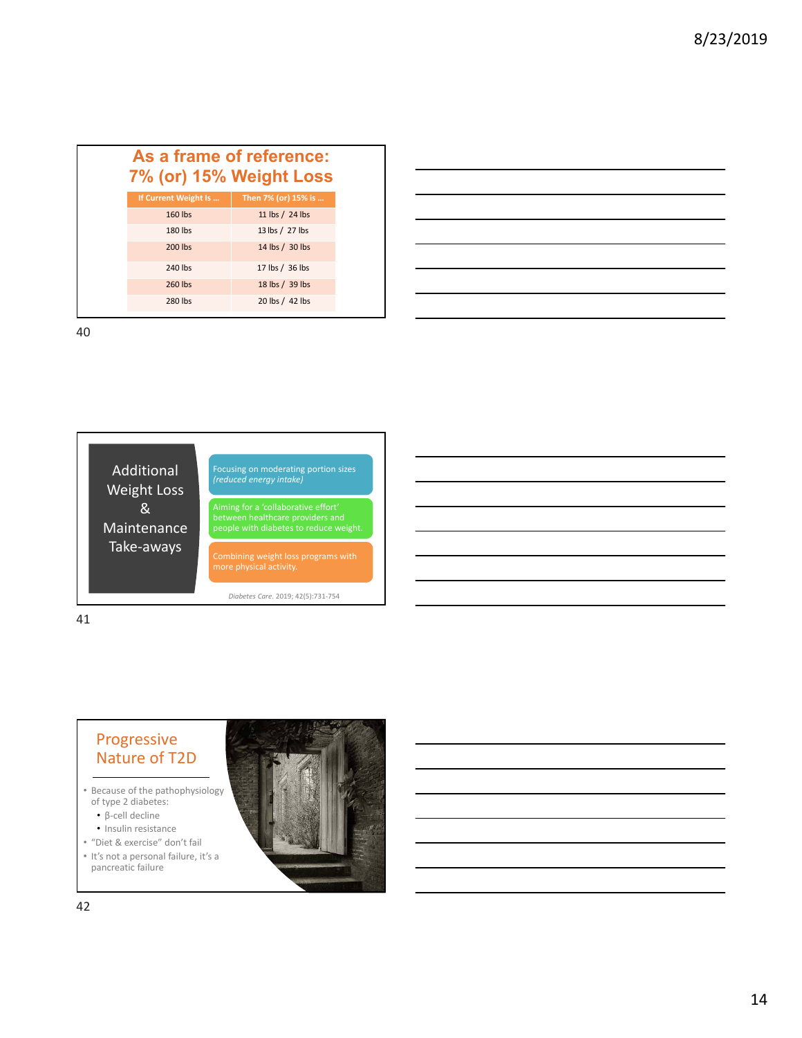| As a frame of reference:<br>7% (or) 15% Weight Loss |                     |  |  |  |  |
|-----------------------------------------------------|---------------------|--|--|--|--|
| If Current Weight Is                                | Then 7% (or) 15% is |  |  |  |  |
| 160 lbs                                             | 11 lbs / 24 lbs     |  |  |  |  |
| 180 lbs                                             | 13 lbs / 27 lbs     |  |  |  |  |
| 200 lbs                                             | 14 lbs / 30 lbs     |  |  |  |  |
| 240 lbs                                             | 17 lbs / 36 lbs     |  |  |  |  |
| 260 lbs                                             | 18 lbs / 39 lbs     |  |  |  |  |
| 280 lbs                                             | 20 lbs / 42 lbs     |  |  |  |  |





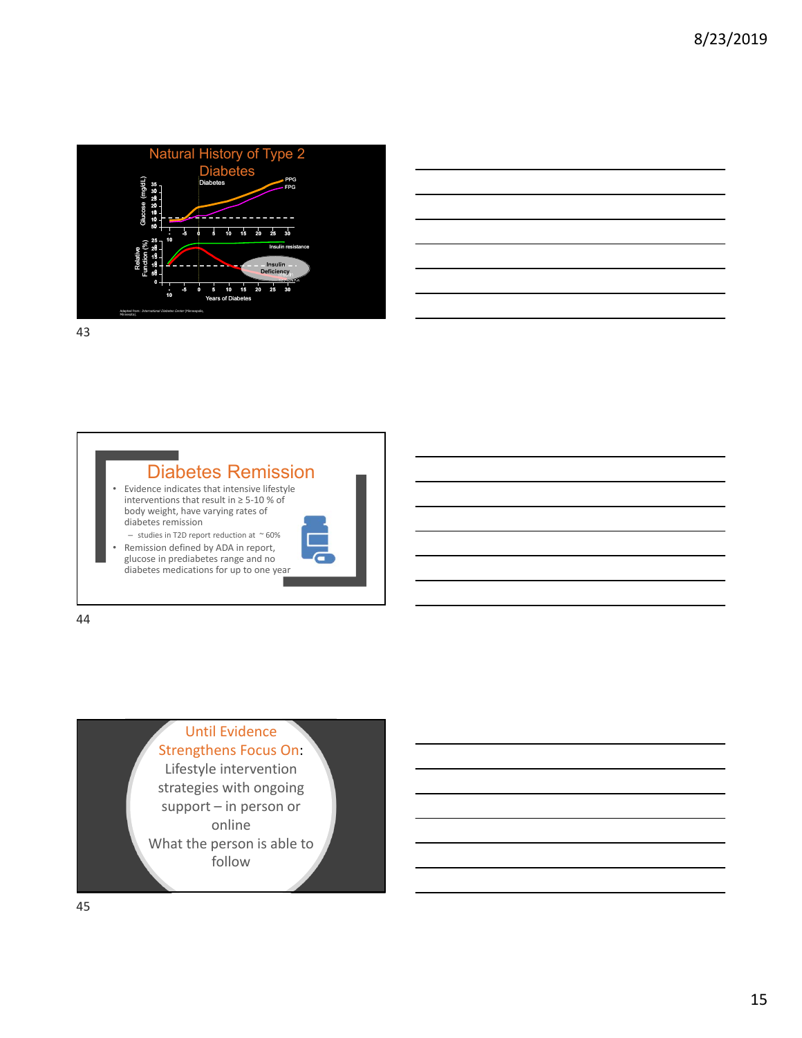

|  |  | <u> 1989 - Johann Stoff, amerikansk politiker (d. 1989)</u>                                                                                                          |  |
|--|--|----------------------------------------------------------------------------------------------------------------------------------------------------------------------|--|
|  |  |                                                                                                                                                                      |  |
|  |  |                                                                                                                                                                      |  |
|  |  |                                                                                                                                                                      |  |
|  |  | ,我们也不会有一个人的事情。""我们的人们,我们也不会有一个人的人,我们也不会有一个人的人,我们也不会有一个人的人,我们也不会有一个人的人,我们也不会有一个人的<br>第一百一十一章 我们的人,我们的人们的人们,我们的人们的人们的人们,我们的人们的人们的人们,我们的人们的人们,我们的人们的人们,我们的人们的人们,我们的人们的人 |  |
|  |  |                                                                                                                                                                      |  |